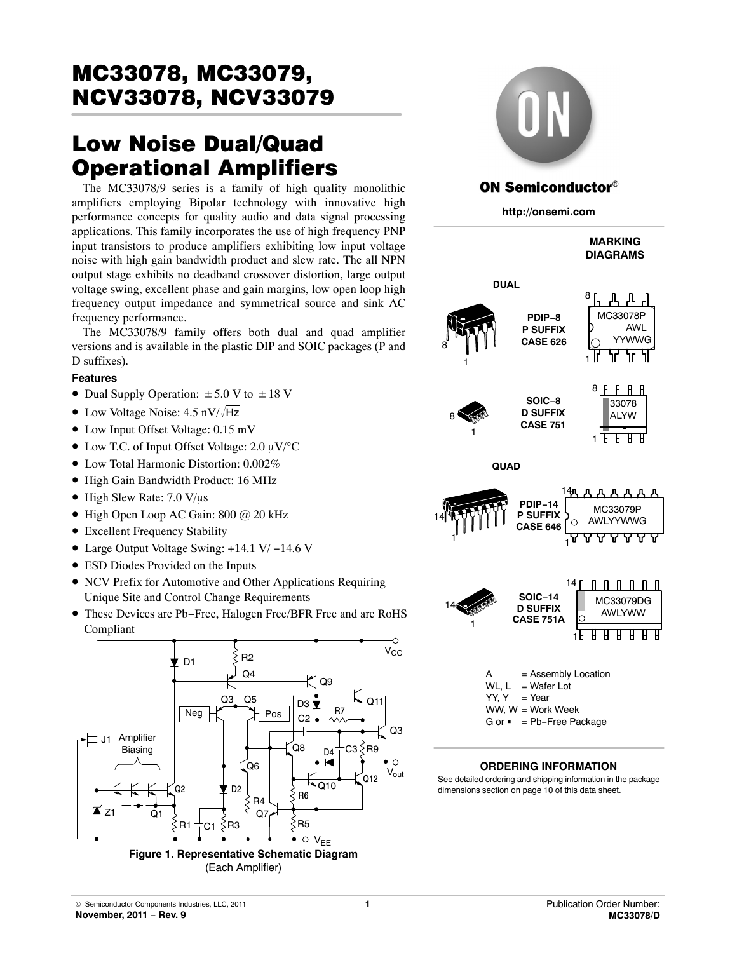# Low Noise Dual/Quad Operational Amplifiers

The MC33078/9 series is a family of high quality monolithic amplifiers employing Bipolar technology with innovative high performance concepts for quality audio and data signal processing applications. This family incorporates the use of high frequency PNP input transistors to produce amplifiers exhibiting low input voltage noise with high gain bandwidth product and slew rate. The all NPN output stage exhibits no deadband crossover distortion, large output voltage swing, excellent phase and gain margins, low open loop high frequency output impedance and symmetrical source and sink AC frequency performance.

The MC33078/9 family offers both dual and quad amplifier versions and is available in the plastic DIP and SOIC packages (P and D suffixes).

#### **Features**

- Dual Supply Operation:  $\pm 5.0$  V to  $\pm 18$  V
- Low Voltage Noise:  $4.5 \text{ nV}/\sqrt{\text{Hz}}$
- Low Input Offset Voltage: 0.15 mV
- Low T.C. of Input Offset Voltage:  $2.0 \mu V$ /°C
- Low Total Harmonic Distortion: 0.002%
- High Gain Bandwidth Product: 16 MHz
- $\bullet$  High Slew Rate: 7.0 V/ $\mu$ s
- High Open Loop AC Gain: 800 @ 20 kHz
- Excellent Frequency Stability
- Large Output Voltage Swing: +14.1 V/ −14.6 V
- ESD Diodes Provided on the Inputs
- NCV Prefix for Automotive and Other Applications Requiring Unique Site and Control Change Requirements
- These Devices are Pb−Free, Halogen Free/BFR Free and are RoHS Compliant



(Each Amplifier)

## **ON Semiconductor®**

**http://onsemi.com**



#### **ORDERING INFORMATION**

See detailed ordering and shipping information in the package dimensions section on page [10](#page-9-0) of this data sheet.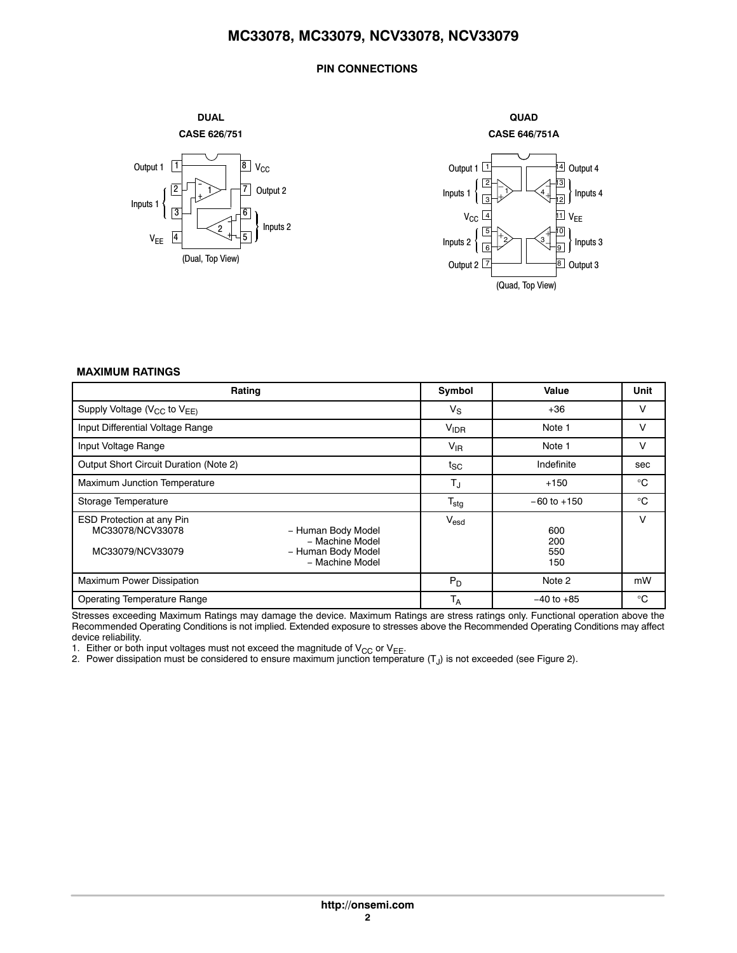#### **PIN CONNECTIONS**







**QUAD**

#### **MAXIMUM RATINGS**

| Rating                                                                                                                                                     | Symbol           | Value                    | Unit        |
|------------------------------------------------------------------------------------------------------------------------------------------------------------|------------------|--------------------------|-------------|
| Supply Voltage (V <sub>CC</sub> to V <sub>EE)</sub>                                                                                                        | $V_{\rm S}$      | $+36$                    | V           |
| Input Differential Voltage Range                                                                                                                           | V <sub>IDR</sub> | Note 1                   | v           |
| Input Voltage Range                                                                                                                                        | $V_{IR}$         | Note 1                   | V           |
| Output Short Circuit Duration (Note 2)                                                                                                                     | tsc              | Indefinite               | sec         |
| Maximum Junction Temperature                                                                                                                               | $T_J$            | $+150$                   | $^{\circ}C$ |
| Storage Temperature                                                                                                                                        | $T_{\text{stg}}$ | $-60$ to $+150$          | $^{\circ}C$ |
| <b>ESD Protection at any Pin</b><br>MC33078/NCV33078<br>- Human Body Model<br>- Machine Model<br>MC33079/NCV33079<br>- Human Body Model<br>- Machine Model | $V_{\text{esd}}$ | 600<br>200<br>550<br>150 | v           |
| Maximum Power Dissipation                                                                                                                                  | $P_D$            | Note 2                   | mW          |
| <b>Operating Temperature Range</b>                                                                                                                         | $T_A$            | $-40$ to $+85$           | $^{\circ}C$ |

Stresses exceeding Maximum Ratings may damage the device. Maximum Ratings are stress ratings only. Functional operation above the Recommended Operating Conditions is not implied. Extended exposure to stresses above the Recommended Operating Conditions may affect device reliability.

1. Either or both input voltages must not exceed the magnitude of  $\mathsf{V}_{\mathsf{CC}}$  or  $\mathsf{V}_{\mathsf{EE}}$ .

2. Power dissipation must be considered to ensure maximum junction temperature (T<sub>J</sub>) is not exceeded (see Figure [2\)](#page-3-0).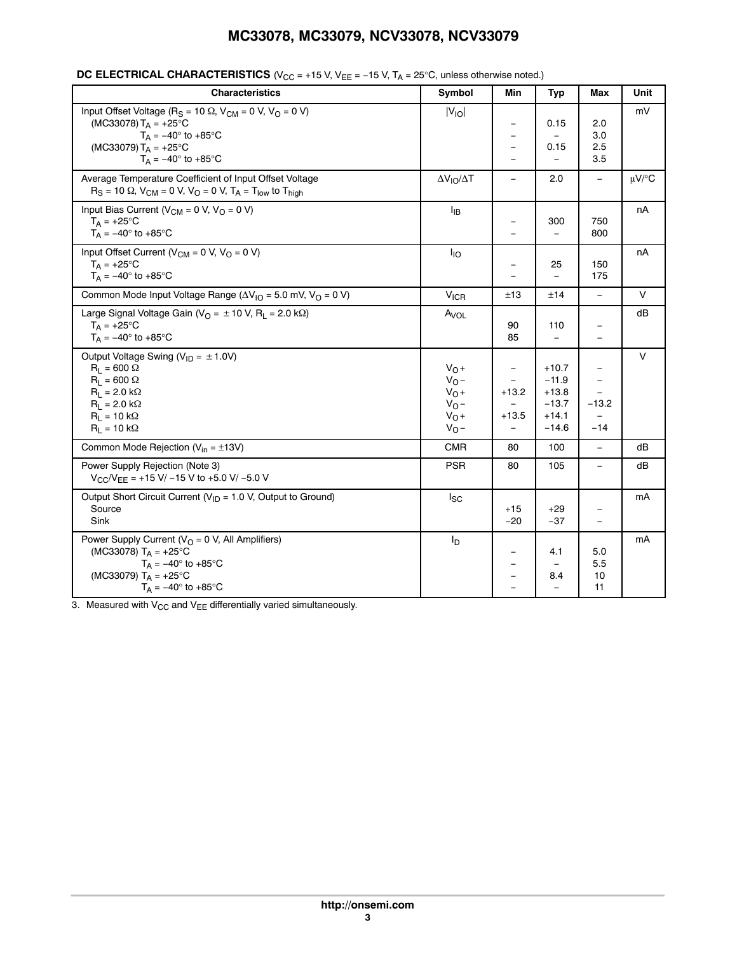| <b>Characteristics</b>                                                                                                                                                                                      | Symbol                                                         | Min                                            | <b>Typ</b>                                                     | Max                                                           | Unit       |
|-------------------------------------------------------------------------------------------------------------------------------------------------------------------------------------------------------------|----------------------------------------------------------------|------------------------------------------------|----------------------------------------------------------------|---------------------------------------------------------------|------------|
| Input Offset Voltage ( $R_S = 10 \Omega$ , $V_{CM} = 0 V$ , $V_O = 0 V$ )<br>(MC33078) $T_A = +25$ °C<br>$T_A = -40^\circ$ to $+85^\circ$ C<br>(MC33079) $T_A = +25^{\circ}C$<br>$T_A = -40^\circ$ to +85°C | $ V_{IO} $                                                     | $\qquad \qquad -$<br>$\equiv$                  | 0.15<br>0.15                                                   | 2.0<br>3.0<br>2.5<br>3.5                                      | mV         |
| Average Temperature Coefficient of Input Offset Voltage<br>$R_S = 10 \Omega$ , $V_{CM} = 0 V$ , $V_{O} = 0 V$ , $T_A = T_{low}$ to $T_{high}$                                                               | $\Delta V_{IO}/\Delta T$                                       | $\equiv$                                       | 2.0                                                            | $\qquad \qquad -$                                             | $\mu$ V/°C |
| Input Bias Current ( $V_{CM}$ = 0 V, $V_{O}$ = 0 V)<br>$T_A = +25$ °C<br>$T_A = -40^\circ$ to +85°C                                                                                                         | ŀв                                                             | $\qquad \qquad \blacksquare$                   | 300                                                            | 750<br>800                                                    | nA         |
| Input Offset Current ( $V_{CM}$ = 0 V, $V_{O}$ = 0 V)<br>$T_A = +25^{\circ}C$<br>$T_A = -40^\circ$ to +85 $\circ$ C                                                                                         | $I_{IO}$                                                       |                                                | 25<br>$\equiv$                                                 | 150<br>175                                                    | nA         |
| Common Mode Input Voltage Range ( $\Delta V_{1O}$ = 5.0 mV, V <sub>O</sub> = 0 V)                                                                                                                           | <b>V<sub>ICR</sub></b>                                         | ±13                                            | ±14                                                            | $\equiv$                                                      | $\vee$     |
| Large Signal Voltage Gain ( $V_O = \pm 10$ V, R <sub>L</sub> = 2.0 k $\Omega$ )<br>$T_A = +25$ °C<br>$T_A = -40^{\circ}$ to +85°C                                                                           | $A_{VOL}$                                                      | 90<br>85                                       | 110<br>$\equiv$                                                | $\qquad \qquad -$<br>$\overline{\phantom{0}}$                 | dВ         |
| Output Voltage Swing ( $V_{ID} = \pm 1.0 V$ )<br>$R_1 = 600 \Omega$<br>$R_1 = 600 \Omega$<br>$R_1 = 2.0 k\Omega$<br>$R_1 = 2.0 k\Omega$<br>$R_1 = 10 k\Omega$<br>$R_1 = 10 k\Omega$                         | $V_0 +$<br>$V_0 -$<br>$V_0 +$<br>$V_0 -$<br>$V_0 +$<br>$V_O -$ | $\overline{\phantom{0}}$<br>$+13.2$<br>$+13.5$ | $+10.7$<br>$-11.9$<br>$+13.8$<br>$-13.7$<br>$+14.1$<br>$-14.6$ | -<br>$\overline{\phantom{0}}$<br>$-13.2$<br>$\equiv$<br>$-14$ | $\vee$     |
| Common Mode Rejection ( $V_{in} = \pm 13V$ )                                                                                                                                                                | <b>CMR</b>                                                     | 80                                             | 100                                                            | $\equiv$                                                      | dВ         |
| Power Supply Rejection (Note 3)<br>$V_{\text{CC}}/V_{\text{EE}}$ = +15 V/ -15 V to +5.0 V/ -5.0 V                                                                                                           | <b>PSR</b>                                                     | 80                                             | 105                                                            |                                                               | dВ         |
| Output Short Circuit Current ( $V_{ID}$ = 1.0 V, Output to Ground)<br>Source<br>Sink                                                                                                                        | $I_{SC}$                                                       | $+15$<br>$-20$                                 | $+29$<br>$-37$                                                 | -<br>$\equiv$                                                 | mA         |
| Power Supply Current ( $VO = 0$ V, All Amplifiers)<br>(MC33078) $T_A = +25^{\circ}C$<br>$T_A = -40^\circ$ to +85 $^\circ$ C<br>(MC33079) $T_A = +25^{\circ}C$<br>$T_A = -40^\circ$ to +85°C                 | Iр                                                             | $\qquad \qquad -$<br>$\equiv$<br>$\equiv$      | 4.1<br>8.4<br>$\equiv$                                         | 5.0<br>5.5<br>10<br>11                                        | mA         |

#### **DC ELECTRICAL CHARACTERISTICS** (V<sub>CC</sub> = +15 V, V<sub>EE</sub> = −15 V, T<sub>A</sub> = 25°C, unless otherwise noted.)

3. Measured with  $V_{CC}$  and  $V_{EE}$  differentially varied simultaneously.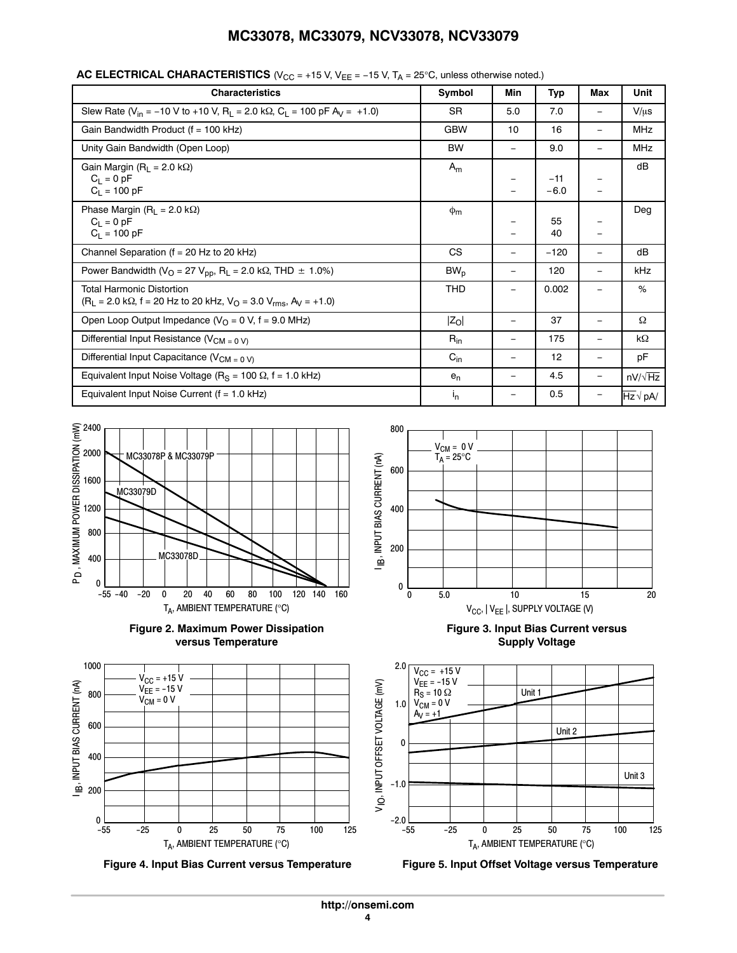| <b>Characteristics</b>                                                                                                                         | Symbol     | Min                      | Typ             | Max                      | Unit           |
|------------------------------------------------------------------------------------------------------------------------------------------------|------------|--------------------------|-----------------|--------------------------|----------------|
| Slew Rate ( $V_{in}$ = -10 V to +10 V, R <sub>L</sub> = 2.0 k $\Omega$ , C <sub>L</sub> = 100 pF A <sub>V</sub> = +1.0)                        | <b>SR</b>  | 5.0                      | 7.0             |                          | $V/\mu s$      |
| Gain Bandwidth Product (f = 100 kHz)                                                                                                           | <b>GBW</b> | 10                       | 16              |                          | <b>MHz</b>     |
| Unity Gain Bandwidth (Open Loop)                                                                                                               | <b>BW</b>  | $\qquad \qquad -$        | 9.0             | -                        | <b>MHz</b>     |
| Gain Margin ( $R_L$ = 2.0 k $\Omega$ )<br>$C_L = 0 pF$<br>$C_L = 100 pF$                                                                       | $A_m$      |                          | $-11$<br>$-6.0$ | $\overline{\phantom{m}}$ | dB             |
| Phase Margin ( $R_L$ = 2.0 k $\Omega$ )<br>$C_1 = 0$ pF<br>$C_1 = 100 pF$                                                                      | $\Phi$ m   | -                        | 55<br>40        | -                        | Deg            |
| Channel Separation ( $f = 20$ Hz to 20 kHz)                                                                                                    | <b>CS</b>  | -                        | $-120$          |                          | dB             |
| Power Bandwidth ( $V_O$ = 27 $V_{pp}$ , R <sub>L</sub> = 2.0 k $\Omega$ , THD $\pm$ 1.0%)                                                      | $BW_{p}$   | $\qquad \qquad -$        | 120             | $\overline{\phantom{m}}$ | kHz            |
| <b>Total Harmonic Distortion</b><br>$(R_L = 2.0 \text{ k}\Omega, f = 20 \text{ Hz}$ to 20 kHz, $V_O = 3.0 \text{ V}_{\text{rms}}, A_V = +1.0)$ | <b>THD</b> | -                        | 0.002           |                          | %              |
| Open Loop Output Impedance ( $VO = 0$ V, f = 9.0 MHz)                                                                                          | $ Z_O $    | -                        | 37              | -                        | Ω              |
| Differential Input Resistance ( $V_{CM = 0 V}$ )                                                                                               | $R_{in}$   | $\overline{\phantom{0}}$ | 175             |                          | $k\Omega$      |
| Differential Input Capacitance ( $V_{CM = 0 V}$ )                                                                                              | $C_{in}$   | $\overline{\phantom{0}}$ | 12              |                          | pF             |
| Equivalent Input Noise Voltage ( $R_S$ = 100 $\Omega$ , f = 1.0 kHz)                                                                           | $e_n$      | -                        | 4.5             | $\overline{\phantom{m}}$ | $nV/\sqrt{Hz}$ |
| Equivalent Input Noise Current ( $f = 1.0$ kHz)                                                                                                | $I_{n}$    | -                        | 0.5             |                          | $Hz \vee pA/$  |

<span id="page-3-0"></span>**AC ELECTRICAL CHARACTERISTICS** (V<sub>CC</sub> = +15 V, V<sub>EE</sub> = −15 V, T<sub>A</sub> = 25°C, unless otherwise noted.)







**Figure 4. Input Bias Current versus Temperature Figure 5. Input Offset Voltage versus Temperature**



**Figure 3. Input Bias Current versus Supply Voltage**

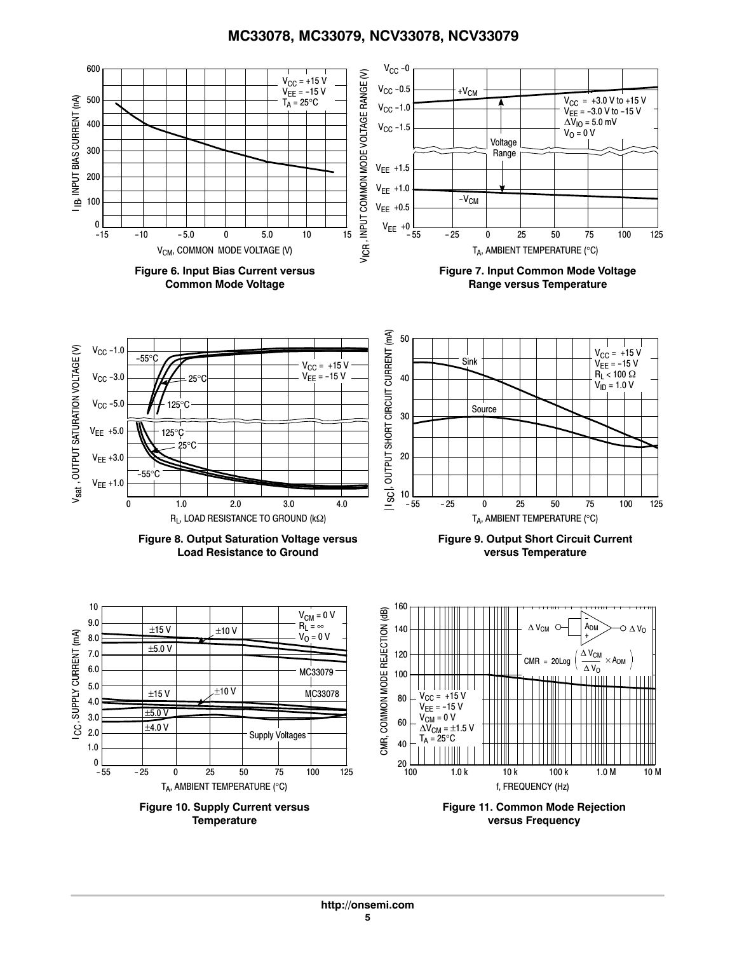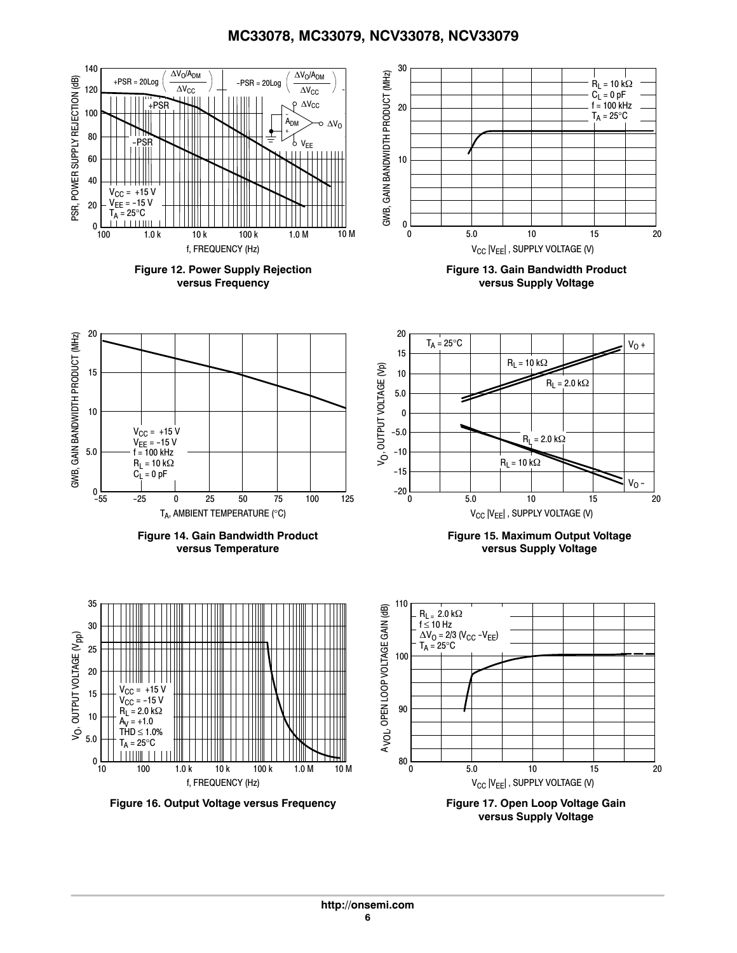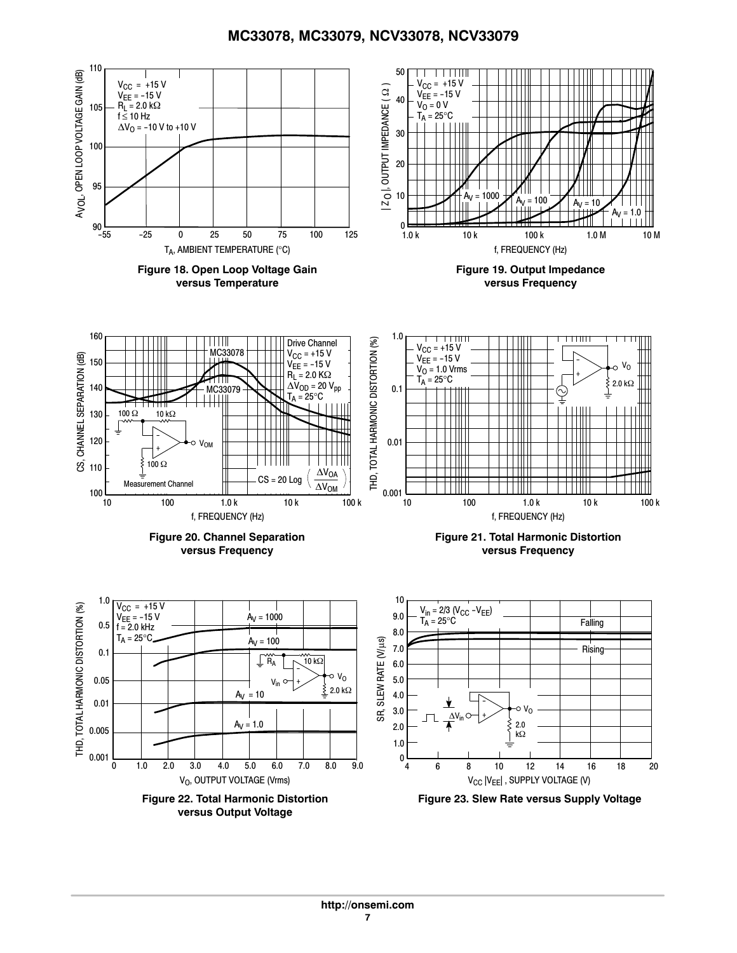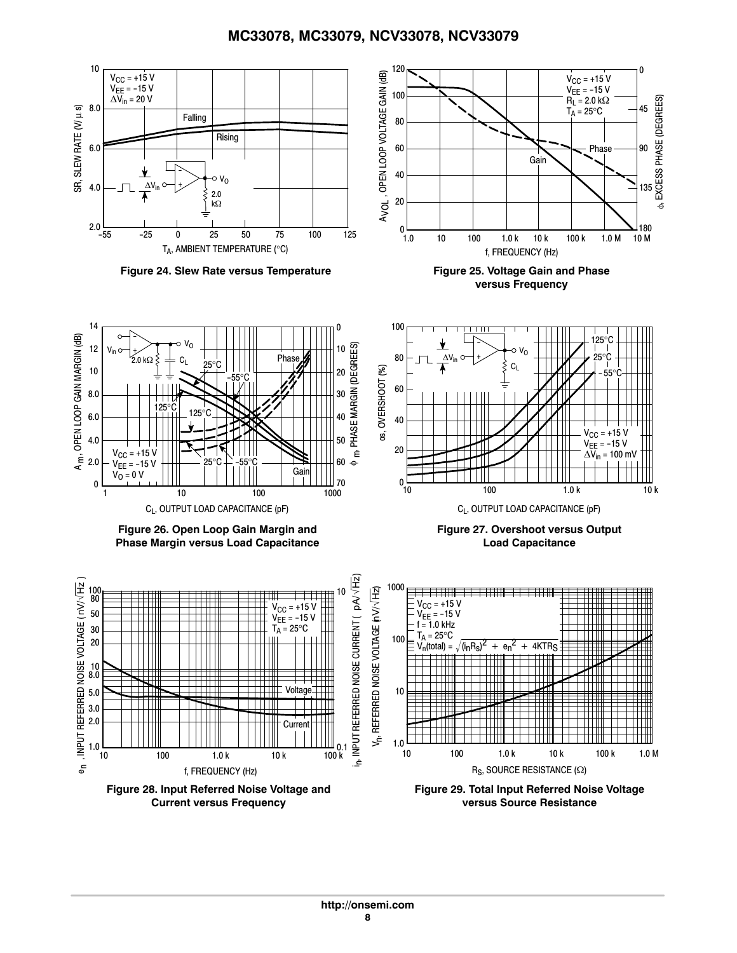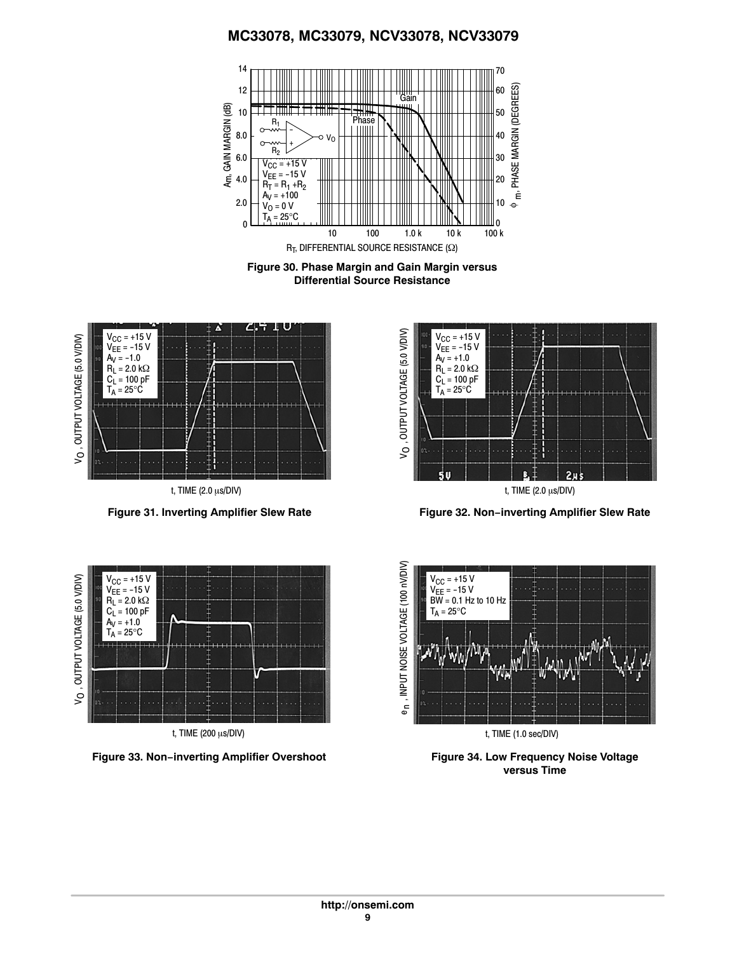

**Figure 30. Phase Margin and Gain Margin versus Differential Source Resistance**







**Figure 31. Inverting Amplifier Slew Rate Figure 32. Non−inverting Amplifier Slew Rate**



**Figure 33. Non−inverting Amplifier Overshoot Figure 34. Low Frequency Noise Voltage**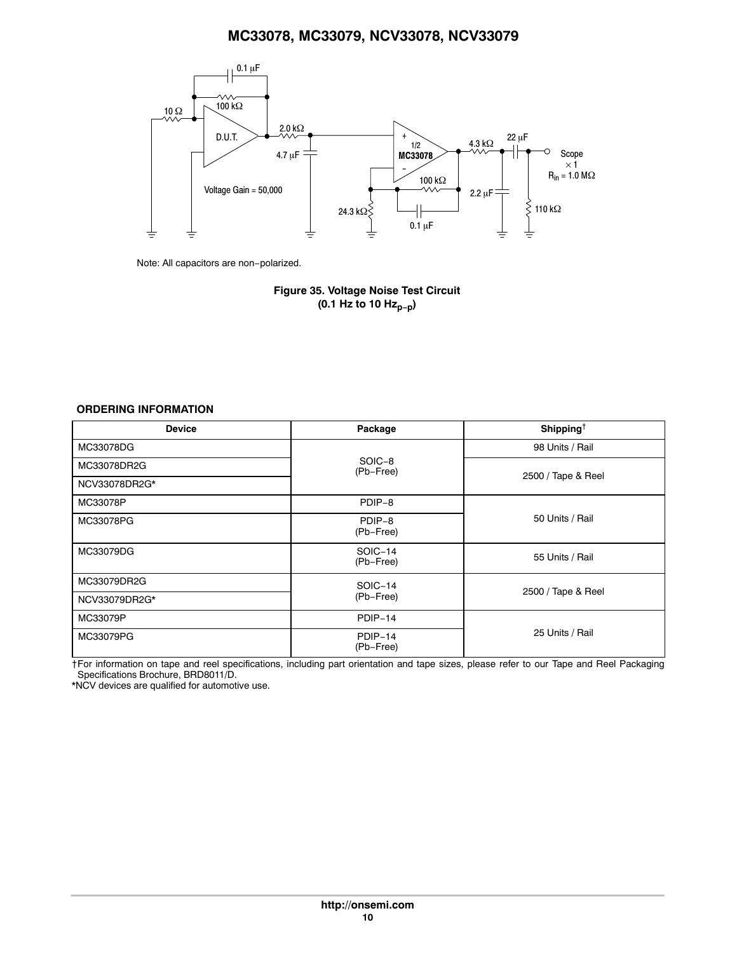<span id="page-9-0"></span>

Note: All capacitors are non−polarized.

**Figure 35. Voltage Noise Test Circuit (0.1 Hz to 10 Hzp−p)**

#### **ORDERING INFORMATION**

| <b>Device</b> | Package              | Shipping <sup>†</sup> |  |  |
|---------------|----------------------|-----------------------|--|--|
| MC33078DG     |                      | 98 Units / Rail       |  |  |
| MC33078DR2G   | SOIC-8<br>(Pb-Free)  |                       |  |  |
| NCV33078DR2G* |                      | 2500 / Tape & Reel    |  |  |
| MC33078P      | PDIP-8               |                       |  |  |
| MC33078PG     | PDIP-8<br>(Pb-Free)  | 50 Units / Rail       |  |  |
| MC33079DG     | SOIC-14<br>(Pb-Free) | 55 Units / Rail       |  |  |
| MC33079DR2G   | SOIC-14              | 2500 / Tape & Reel    |  |  |
| NCV33079DR2G* | (Pb-Free)            |                       |  |  |
| MC33079P      | PDIP-14              |                       |  |  |
| MC33079PG     | PDIP-14<br>(Pb-Free) | 25 Units / Rail       |  |  |

†For information on tape and reel specifications, including part orientation and tape sizes, please refer to our Tape and Reel Packaging Specifications Brochure, BRD8011/D.

\*NCV devices are qualified for automotive use.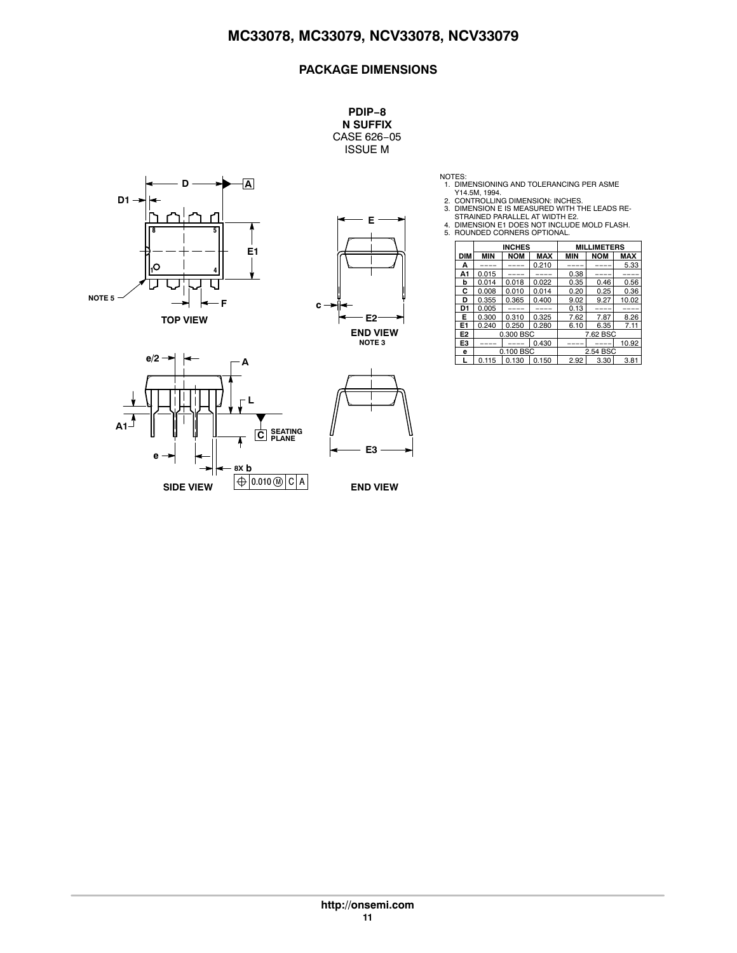**PDIP−8 N SUFFIX** CASE 626−05 ISSUE M





- 
- NOTES:<br>1. DIMENSIONING AND TOLERANCING PER ASME<br>2. CONTROLLING DIMENSION: INCHES.<br>3. DIMENSION E IS MEASURED WITH THE LEADS RE-<br>5. DIMENSION E IS MEASURED WITH E2.<br>4. DIMENSION E1 DOES NOT INCLUDE MOLD FLASH.<br>5. ROUNDED CO

|                | <b>INCHES</b> |            |            | <b>MILLIMETERS</b> |            |            |
|----------------|---------------|------------|------------|--------------------|------------|------------|
| <b>DIM</b>     | <b>MIN</b>    | <b>NOM</b> | <b>MAX</b> | <b>MIN</b>         | <b>NOM</b> | <b>MAX</b> |
| А              |               |            | 0.210      |                    |            | 5.33       |
| А1             | 0.015         |            |            | 0.38               |            |            |
| b              | 0.014         | 0.018      | 0.022      | 0.35               | 0.46       | 0.56       |
| С              | 0.008         | 0.010      | 0.014      | 0.20               | 0.25       | 0.36       |
| D              | 0.355         | 0.365      | 0.400      | 9.02               | 9.27       | 10.02      |
| D1             | 0.005         |            |            | 0.13               |            |            |
| Е              | 0.300         | 0.310      | 0.325      | 7.62               | 7.87       | 8.26       |
| E1             | 0.240         | 0.250      | 0.280      | 6.10               | 6.35       | 7.11       |
| E <sub>2</sub> |               | 0.300 BSC  |            | 7.62 BSC           |            |            |
| E3             |               |            | 0.430      |                    |            | 10.92      |
| e              | 0.100 BSC     |            |            | 2.54 BSC           |            |            |
|                | 0.115         | 0.130      | 0.150      | 2.92               | 3.30       | 3.81       |





**END VIEW**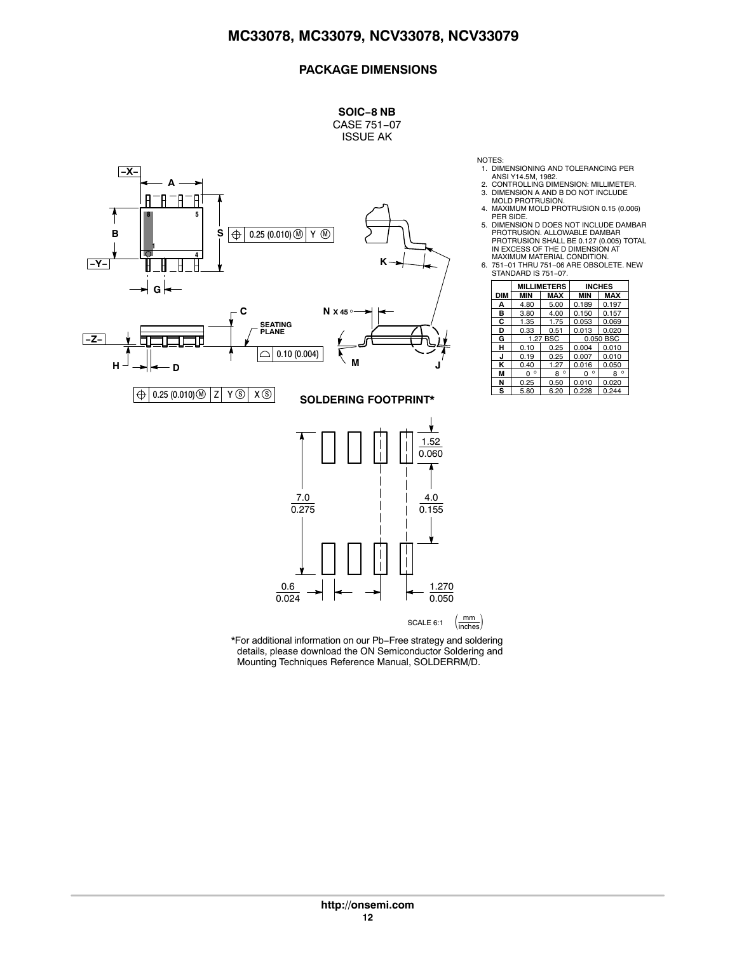**SOIC−8 NB**



NOTES:

- 1. DIMENSIONING AND TOLERANCING PER
- ANSI Y14.5M, 1982. 2. CONTROLLING DIMENSION: MILLIMETER.
- 3. DIMENSION A AND B DO NOT INCLUDE MOLD PROTRUSION.
- 
- 4. MAXIMUM MOLD PROTRUSION 0.15 (0.006)<br>PER SIDE.<br>5. DIMENSION D DOES NOT INCLUDE DAMBAR<br>PROTRUSION. ALLOWABLE DAMBAR<br>PROTRUSION SHALL BE 0.127 (0.005) TOTAL<br>IN EXCESS OF THE D DIMENSION AT
- 
- MAXIMUM MATERIAL CONDITION. 6. 751−01 THRU 751−06 ARE OBSOLETE. NEW STANDARD IS 751−07.

|            | <b>MILLIMETERS</b> |           |              | <b>INCHES</b> |  |
|------------|--------------------|-----------|--------------|---------------|--|
| <b>DIM</b> | <b>MIN</b>         | MAX       | <b>MIN</b>   | <b>MAX</b>    |  |
| А          | 4.80               | 5.00      | 0.189        | 0.197         |  |
| в          | 3.80               | 4.00      | 0.150        | 0.157         |  |
| C          | 1.35               | 1.75      | 0.053        | 0.069         |  |
| D          | 0.33               | 0.51      | 0.013        | 0.020         |  |
| G          | 1.27 BSC           |           | 0.050 BSC    |               |  |
| н          | 0.10               | 0.25      | 0.004        | 0.010         |  |
| J          | 0.19               | 0.25      | 0.007        | 0.010         |  |
| ĸ          | 0.40               | 1.27      | 0.016        | 0.050         |  |
| М          | $\circ$<br>0       | $8^\circ$ | $\circ$<br>0 | $\circ$<br>8  |  |
| N          | 0.25               | 0.50      | 0.010        | 0.020         |  |
| s          | 5.80               | 6.20      | 0.228        | 0.244         |  |

\*For additional information on our Pb−Free strategy and soldering details, please download the ON Semiconductor Soldering and Mounting Techniques Reference Manual, SOLDERRM/D.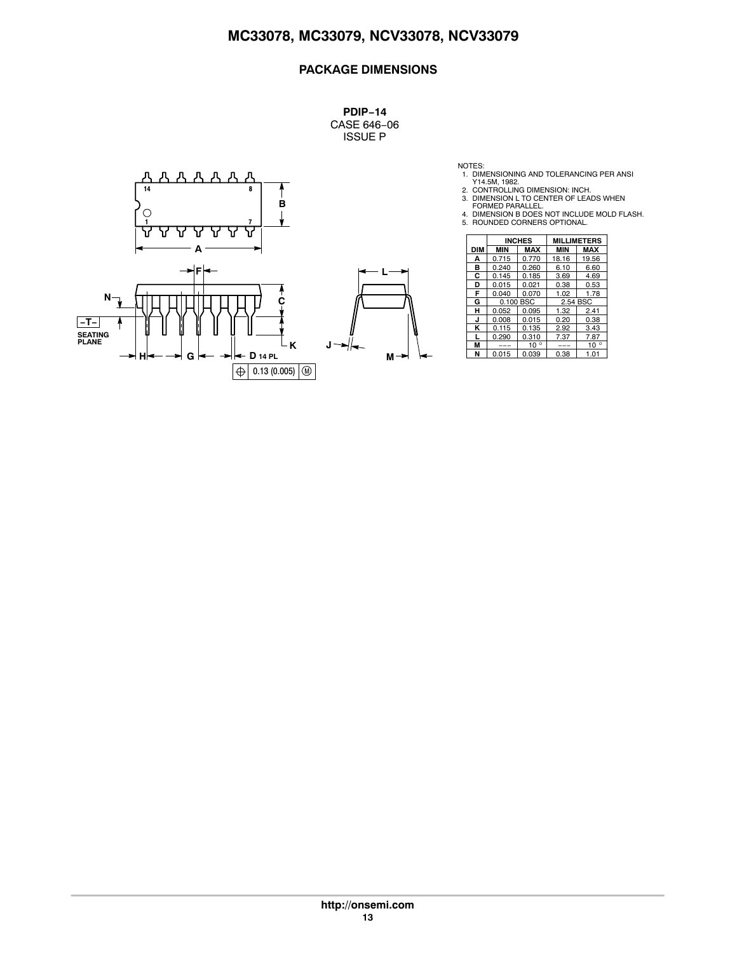**PDIP−14** CASE 646−06 ISSUE P



NOTES:<br>
1. DIMENSIONING AND TOLERANCING PER ANSI<br>
2. CONTROLLING DIMENSION: INCH.<br>
3. DIMENSION L TO CENTER OF LEADS WHEN<br>
4. DIMENSION B DOES NOT INCLUDE MOLD FLASH.<br>
4. DIMENSION B DOES NOT INCLUDE MOLD FLASH.<br>
5. ROUNDE

|   |            | <b>INCHES</b> |              | <b>MILLIMETERS</b> |              |  |
|---|------------|---------------|--------------|--------------------|--------------|--|
|   | <b>DIM</b> | <b>MIN</b>    | <b>MAX</b>   | <b>MIN</b>         | <b>MAX</b>   |  |
|   | А          | 0.715         | 0.770        | 18.16              | 19.56        |  |
|   | в          | 0.240         | 0.260        | 6.10               | 6.60         |  |
|   | С          | 0.145         | 0.185        | 3.69               | 4.69         |  |
|   | D          | 0.015         | 0.021        | 0.38               | 0.53         |  |
|   | F          | 0.040         | 0.070        | 1.02               | 1.78         |  |
|   | G          |               | 0.100 BSC    | 2.54 BSC           |              |  |
|   | н          | 0.052         | 0.095        | 1.32               | 2.41         |  |
|   | J          | 0.008         | 0.015        | 0.20               | 0.38         |  |
|   | κ          | 0.115         | 0.135        | 2.92               | 3.43         |  |
|   |            | 0.290         | 0.310        | 7.37               | 7.87         |  |
| J | М          | ---           | $10^{\circ}$ | ---                | $10^{\circ}$ |  |
| м | N          | 0.015         | 0.039        | 0.38               | 1.01         |  |